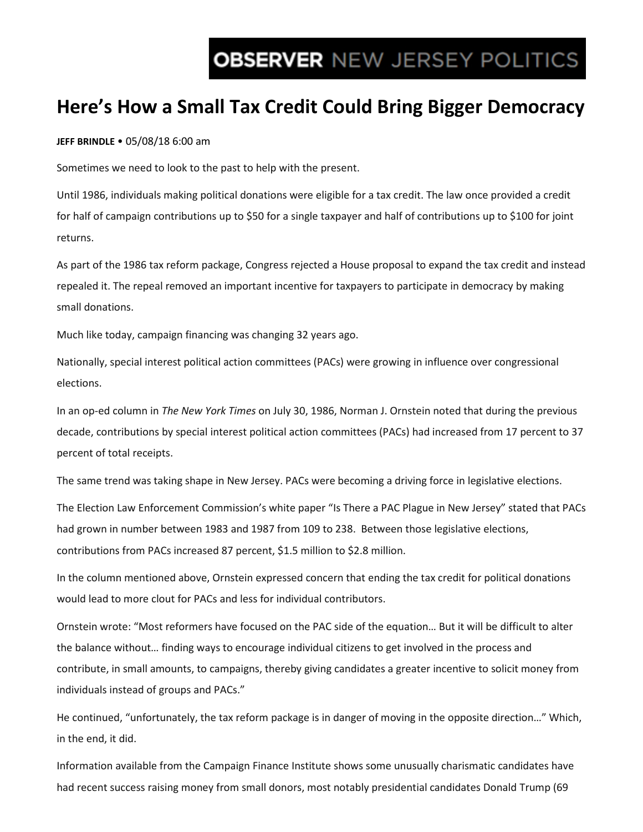# **OBSERVER NEW JERSEY POLITICS**

## **Here's How a Small Tax Credit Could Bring Bigger Democracy**

**JEFF BRINDLE** • 05/08/18 6:00 am

Sometimes we need to look to the past to help with the present.

Until 1986, individuals making political donations were eligible for a tax credit. The law once provided a credit for half of campaign contributions up to \$50 for a single taxpayer and half of contributions up to \$100 for joint returns.

As part of the 1986 tax reform package, Congress rejected a House proposal to expand the tax credit and instead repealed it. The repeal removed an important incentive for taxpayers to participate in democracy by making small donations.

Much like today, campaign financing was changing 32 years ago.

Nationally, special interest political action committees (PACs) were growing in influence over congressional elections.

In an op-ed column in *The New York Times* on July 30, 1986, Norman J. Ornstein noted that during the previous decade, contributions by special interest political action committees (PACs) had increased from 17 percent to 37 percent of total receipts.

The same trend was taking shape in New Jersey. PACs were becoming a driving force in legislative elections.

The Election Law Enforcement Commission's white paper "Is There a PAC Plague in New Jersey" stated that PACs had grown in number between 1983 and 1987 from 109 to 238. Between those legislative elections, contributions from PACs increased 87 percent, \$1.5 million to \$2.8 million.

In the column mentioned above, Ornstein expressed concern that ending the tax credit for political donations would lead to more clout for PACs and less for individual contributors.

Ornstein wrote: "Most reformers have focused on the PAC side of the equation… But it will be difficult to alter the balance without… finding ways to encourage individual citizens to get involved in the process and contribute, in small amounts, to campaigns, thereby giving candidates a greater incentive to solicit money from individuals instead of groups and PACs."

He continued, "unfortunately, the tax reform package is in danger of moving in the opposite direction…" Which, in the end, it did.

Information available from the Campaign Finance Institute shows some unusually charismatic candidates have had recent success raising money from small donors, most notably presidential candidates Donald Trump (69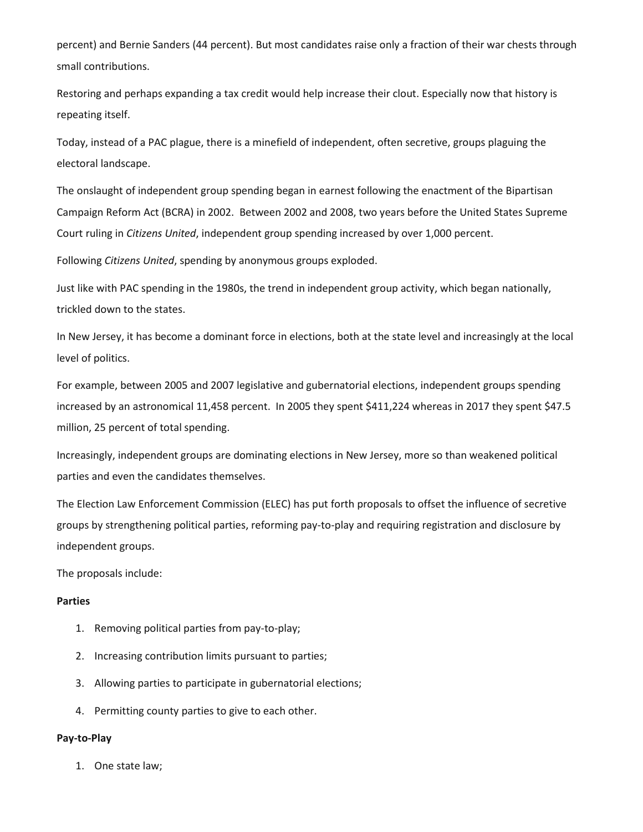percent) and Bernie Sanders (44 percent). But most candidates raise only a fraction of their war chests through small contributions.

Restoring and perhaps expanding a tax credit would help increase their clout. Especially now that history is repeating itself.

Today, instead of a PAC plague, there is a minefield of independent, often secretive, groups plaguing the electoral landscape.

The onslaught of independent group spending began in earnest following the enactment of the Bipartisan Campaign Reform Act (BCRA) in 2002. Between 2002 and 2008, two years before the United States Supreme Court ruling in *Citizens United*, independent group spending increased by over 1,000 percent.

Following *Citizens United*, spending by anonymous groups exploded.

Just like with PAC spending in the 1980s, the trend in independent group activity, which began nationally, trickled down to the states.

In New Jersey, it has become a dominant force in elections, both at the state level and increasingly at the local level of politics.

For example, between 2005 and 2007 legislative and gubernatorial elections, independent groups spending increased by an astronomical 11,458 percent. In 2005 they spent \$411,224 whereas in 2017 they spent \$47.5 million, 25 percent of total spending.

Increasingly, independent groups are dominating elections in New Jersey, more so than weakened political parties and even the candidates themselves.

The Election Law Enforcement Commission (ELEC) has put forth proposals to offset the influence of secretive groups by strengthening political parties, reforming pay-to-play and requiring registration and disclosure by independent groups.

The proposals include:

#### **Parties**

- 1. Removing political parties from pay-to-play;
- 2. Increasing contribution limits pursuant to parties;
- 3. Allowing parties to participate in gubernatorial elections;
- 4. Permitting county parties to give to each other.

#### **Pay-to-Play**

1. One state law;